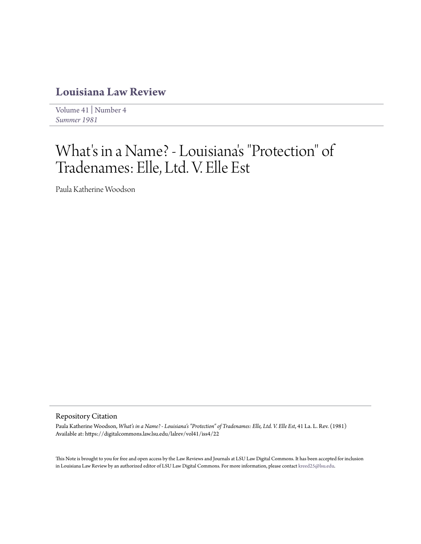## **[Louisiana Law Review](https://digitalcommons.law.lsu.edu/lalrev)**

[Volume 41](https://digitalcommons.law.lsu.edu/lalrev/vol41) | [Number 4](https://digitalcommons.law.lsu.edu/lalrev/vol41/iss4) *[Summer 1981](https://digitalcommons.law.lsu.edu/lalrev/vol41/iss4)*

## What's in a Name? - Louisiana 's "Protection" of Tradenames: Elle, Ltd. V. Elle Est

Paula Katherine Woodson

## Repository Citation

Paula Katherine Woodson, *What's in a Name? - Louisiana's "Protection" of Tradenames: Elle, Ltd. V. Elle Est*, 41 La. L. Rev. (1981) Available at: https://digitalcommons.law.lsu.edu/lalrev/vol41/iss4/22

This Note is brought to you for free and open access by the Law Reviews and Journals at LSU Law Digital Commons. It has been accepted for inclusion in Louisiana Law Review by an authorized editor of LSU Law Digital Commons. For more information, please contact [kreed25@lsu.edu](mailto:kreed25@lsu.edu).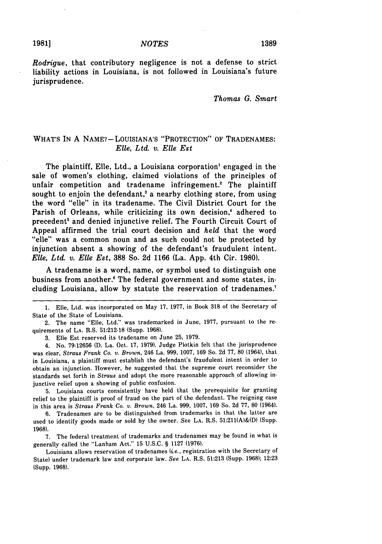*Rodrigue,* that contributory negligence is not a defense to strict liability actions in Louisiana, is not followed in Louisiana's future jurisprudence.

*Thomas G. Smart*

## WHAT'S IN A NAME? **-** LOUISIANA'S "PROTECTION" OF TRADENAMES: *Elle, Ltd. v. Elle Est*

The plaintiff, Elle, Ltd., a Louisiana corporation' engaged in the sale of women's clothing, claimed violations of the principles of unfair competition and tradename infringement.' The plaintiff sought to enjoin the defendant,<sup>3</sup> a nearby clothing store, from using the word "elle" in its tradename. The Civil District Court for the Parish of Orleans, while criticizing its own decision,' adhered to precedent<sup>5</sup> and denied injunctive relief. The Fourth Circuit Court of Appeal affirmed the trial court decision and *held* that the word "elle" was a common noun and as such could not be protected **by** injunction absent a showing of the defendant's fraudulent intent. *Elle, Ltd. v.* **Elle** *Est,* **388** So. **2d 1166** (La. **App.** 4th Cir. **1980).**

**A** tradename is a word, name, or symbol used to distinguish one business from another.' The federal government and some states, including Louisiana, allow **by** statute the reservation of tradenames.'

3. Elle Est reserved its tradename on June 25, 1979.

4. No. 79-12656 **(D.** La. Oct. 17, 1979). Judge Plotkin felt that the jurisprudence was clear, *Straus Frank Co. v. Brown,* 246 La. 999, 1007, 169 So. 2d 77, 80 (1964), that in Louisiana, a plaintiff must establish the defendant's fraudulent intent in order to obtain an injunction. However, he suggested that the supreme court reconsider the standards set forth in *Straus* and adopt the more reasonable approach of allowing injunctive relief upon a showing of public confusion.

5. Louisiana courts consistently have held that the prerequisite for granting relief to the plaintiff is proof of fraud on the part of the defendant. The reigning case in this area is *Straus Frank Co. v. Brown,* 246 La. 999, 1007, 169 So. 2d 77, **80** (1964).

6. Tradenames are to be distinguished from trademarks in that the latter are used to identify goods made or sold by the owner. See **LA.** R.S. 51:211(A)&(D) (Supp. 1968).

7. The federal treatment of trademarks and tradenames may be found in what is generally called the "Lanham Act." 15 U.S.C. § 1127 (1976).

Louisiana allows reservation of tradenames *(ie.,* registration with the Secretary of State) under trademark law and corporate law. See **LA.** R.S. 51:213 (Supp. 1968); 12:23 (Supp. 1968).

<sup>1.</sup> Elle, Ltd. was incorporated on May 17, 1977, in Book 318 of the Secretary of State of the State of Louisiana.

<sup>2.</sup> The name "Elie, Ltd." was trademarked in June, 1977, pursuant to the requirements of **LA.** R.S. 51:212-18 (Supp. 1968).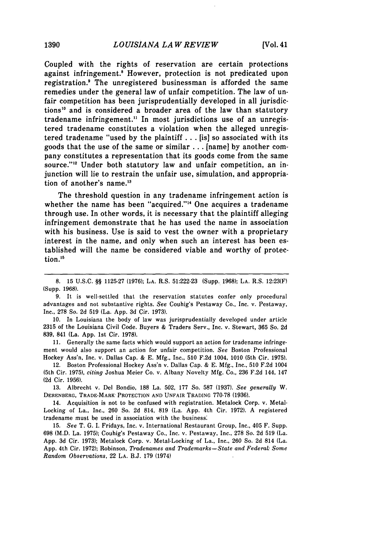Coupled with the rights of reservation are certain protections against infringement.<sup>8</sup> However, protection is not predicated upon registration.' The unregistered businessman is afforded the same remedies under the general law of unfair competition. The law of unfair competition has been jurisprudentially developed in all jurisdictions10 and is considered a broader area of the law than statutory tradename infringement." In most jurisdictions use of an unregistered tradename constitutes a violation when the alleged unregistered tradename "used **by** the plaintiff **...** [is] so associated with its goods that the use of the same or similar **...** [name] **by** another company constitutes a representation that its goods come from the same source."<sup>12</sup> Under both statutory law and unfair competition, an injunction will lie to restrain the unfair use, simulation, and appropriation of another's name.<sup>13</sup>

The threshold question in any tradename infringement action is whether the name has been "acquired."<sup>14</sup> One acquires a tradename through use. In other words, it is necessary that the plaintiff alleging infringement demonstrate that he has used the name in association with his business. Use is said to vest the owner with a proprietary interest in the name, and only when such an interest has been established will the name be considered viable and worthy of protection.<sup>15</sup>

**10.** In Louisiana the body of law was jurisprudentially developed under article **2315** of the Louisiana Civil Code. Buyers **&** Traders Serv., Inc. v. Stewart, **365** So. **2d 839,** 841 (La. **App.** 1st Cir. **1978).**

**11.** Generally the same facts which would support an action for tradename infringement would also support an action for unfair competition. *See* Boston Professional Hockey Ass'n, Inc. v. Dallas Cap. **& E. Mfg.,** Inc., **510 F.2d** 1004, **1010** (5th Cir. **1975).**

12. Boston Professional Hockey Ass'n v. Dallas Cap. **& E. Mfg.,** Inc., **510 F.2d** 1004 (5th Cir. **1975),** *citing* Joshua Meier Co. v. Albany Novelty **Mfg.** Co., **236 F.2d** 144, 147 **(2d** Cir. **1956).**

**13.** Albrecht v. Del Bondio, **188** La. **502, 177** So. **587 (1937).** *See generally* W. DERENBERG, TRADE-MARK" PROTECTION **AND** UNFAIR **TRADING** 770-78 **(1936).**

14. Acquisition is not to be confused with registration. Metalock Corp. v. Metal-Locking of La., Inc., 260 So. 2d 814, 819 (La. App. 4th Cir. 1972). A registered tradename must be used in association with the business:

15. *See* T. **G.** I. Fridays, Inc. v. International Restaurant Group, Inc., 405 F. Supp. 698 (M.D. La. 1975); Couhig's Pestaway Co., Inc. v. Pestaway, Inc., 278 So. 2d 519 (La. App. 3d Cir. 1973); Metalock Corp. v. Metal-Locking of La., Inc., 260 So. 2d 814 (La. App. 4th Cir. 1972); Robinson, *Tradenames and Trademarks-State and Federal: Some Random Observations,* 22 **LA.** B.J. 179 (1974)

**<sup>8. 15</sup> U.S.C.** §§ **1125-27 (1976); LA.** R.S. **51:222-23** (Supp. **1968); LA.** R.S. **12:23(F)** (Supp. **1968).**

**<sup>9.</sup>** It is well-settled that the reservation statutes confer only procedural advantages and not substantive rights. See Couhig's Pestaway Co., Inc. v. Pestaway, Inc., **278** So. **2d 519** (La. **App. 3d** Cir. **1973).**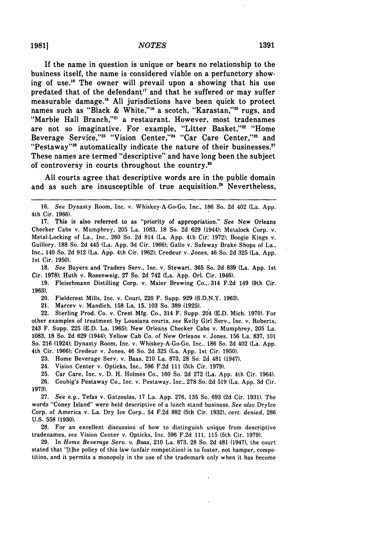**19811**

If the name in question is unique or bears no relationship to the business itself, the name is considered viable on a perfunctory showing of use.<sup>16</sup> The owner will prevail upon a showing that his use predated that of the defendant<sup>17</sup> and that he suffered or may suffer measurable damage.'8 **All** jurisdictions have been quick to protect names such as "Black & White,"<sup>19</sup> a scotch, "Karastan,"<sup>20</sup> rugs, and "Marble Hall Branch,"<sup>21</sup> a restaurant. However, most tradenames are not so imaginative. For example, "Litter Basket,"<sup>22</sup> "Home Beverage Service,"<sup>23</sup> "Vision Center,"<sup>24</sup> "Car Care Center,"<sup>25</sup> and "Pestaway"<sup>26</sup> automatically indicate the nature of their businesses.<sup>27</sup> These names are termed "descriptive" and have long been the subject of controversy in courts throughout the country."

**All** courts agree that descriptive words are in the public domain and as such are insusceptible of true acquisition.<sup>29</sup> Nevertheless,

18. See Buyers and Traders Serv., Inc. v. Stewart, 365 So. 2d 839 (La. App. 1st Cir. 1978); Huth v. Rosenweig, 27 So. 2d 742 (La. App. Orl. Cir. 1946).

19. Fleischmann Distilling Corp. v. Maier Brewing Co.,. 314 F.2d 149 (9th Cir. 1963).

20. Fieldcrest Mills, Inc. v. Couri, 220 F. Supp. 929 (S.D.N.Y. 1963).

21. Marcev v. Mandich, 158 La. 15, 103 So. 389 (1925).

22. Sterling Prod. Co. v. Crest Mfg. Co., 314 F. Supp. 204 (E.D. Mich. 1970). For other examples of treatment by Lousiana courts, *see* Kelly Girl Serv., Inc. v. Roberts, 243 F. Supp. 225 (E.D. La. 1965); New Orleans Checker Cabs v. Mumphrey, 205 La. 1083, 18 So. 2d 629 (1944); Yellow Cab Co. of New Orleans v. Jones, 156 La. 837, 101 So. 216 (1924); Dynasty Room, Inc. v. Whiskey-A-Go-Go, Inc., 186 So. 2d 402 (La. App. 4th Cir. 1966); Credeur v. Jones, 46 So. 2d 325 (La. App. 1st Cir. 1950).

23. Home Beverage Serv. v. Baas, 210 La. 873, 28 So. 2d 481 (1947).

24. Vision Center v. Opticks, Inc., 596 F.2d 111 (5th Cir. 1979).

25. Car Care, Inc. v. D. H. Holmes Co., 160 So. 2d 272 (La. App. 4th Cir. 1964).

26. Couhig's Pestaway Co., Inc. v. Pestaway, Inc., 278 So. 2d 519 (La. App. 3d Cir. 1973).

27. *See e.g.,* Tefas v. Gatzoulas, 17 La. App. 276, 135 So. 693 (2d Cir. 1931). The words "Coney Island" were held descriptive of a lunch stand business. *See also* DryIce Corp. of America v. La. Dry Ice Corp., 54 F.2d 882 (5th Cir. 1932), *cert. denied,* 286 U.S. 558 (1930).

28. For an excellent discussion of how to distinguish unique from descriptive tradenames, *see* Vision Center v. Opticks, Inc. 596 F.2d 111, 115 (5th Cir. 1979).

29. In *Home Beverage Serv. v. Baas,* 210 La. 873, 28 So. 2d 481 (1947), the court stated that "[t]he policy of this law (unfair competition) is to foster, not hamper, competition, and it permits a monopoly in the use of the trademark only when it has become

<sup>16.</sup> *See* Dynasty Room, Inc. v. Whiskey-A-Go-Go, Inc., 186 So. 2d 402 (La. App. 4th Cir. 1966).

<sup>17.</sup> This is also referred to as "priority of appropriation." *See* New Orleans Checker Cabs v. Mumphrey, 205 La. 1083, 18 So. 2d 629 (1944); Metalock Corp. v. Metal-Locking of La., Inc., 260 So. 2d 814 (La. App. 4th Cir: 1972); Boogie Kings v. Guillory, 188 So. 2d 445 (La. App. 3d Cir. 1966); Gallo v. Safeway Brake Shops of La., Inc., 140 So. 2d 912 (La. App. 4th Cir. 1962); Credeur v. Jones, 46 So. 2d 325 (La. App. 1st Cir. 1950).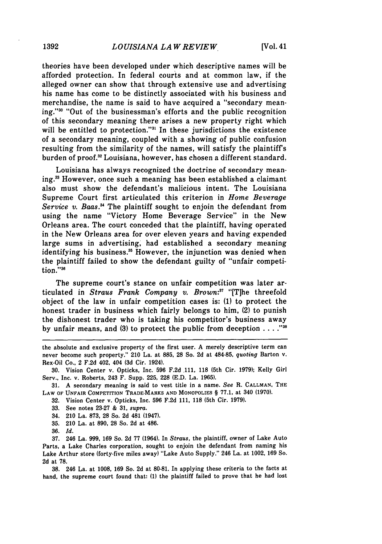theories have been developed under which descriptive names will be afforded protection. In federal courts and at common law, if the alleged owner can show that through extensive use and advertising his name has come to be distinctly associated with his business and merchandise, the name is said to have acquired a "secondary meaning."3 "Out of the businessman's efforts and the public recognition of this secondary meaning there arises a new property right which will be entitled to protection."<sup>31</sup> In these jurisdictions the existence of a secondary meaning, coupled with a showing of public confusion resulting from the similarity of the names, will satisfy the plaintiff's burden of proof.<sup>32</sup> Louisiana, however, has chosen a different standard.

Louisiana has always recognized the doctrine of secondary meaning.3 However, once such a meaning has been established a claimant also must show the defendant's malicious intent. The Louisiana Supreme Court first articulated this criterion in *Home Beverage* Service v. Baas.<sup>34</sup> The plaintiff sought to enjoin the defendant from using the name "Victory Home Beverage Service" in the New Orleans area. The court conceded that the plaintiff, having operated in the New Orleans area for over eleven years and having expended large sums in advertising, had established a secondary meaning identifying his business.<sup>35</sup> However, the injunction was denied when the plaintiff failed to show the defendant guilty of "unfair competition."36

The supreme court's stance on unfair competition was later articulated in *Straus Frank Company v. Brown:"* "[T]he threefold object of the law in unfair competition cases is: **(1)** to protect the honest trader in business which fairly belongs to him, (2) to punish the dishonest trader who is taking his competitor's business away **by** unfair means, and **(3)** to protect the public from deception **...."'**

**32.** Vision Center v. Opticks, Inc. **596** F.2d 111, **118** (5th Cir. 1979).

- 33. See notes 23-27 & 31, *supra.*
- 34. 210 La. 873, 28 So. 2d 481 (1947).
- 35. 210 La. at 890, 28 So. 2d at 486.
- 36. *Id.*

37. 246 La. 999, 169 So. 2d 77 (1964). In *Straus,* the plaintiff, owner of Lake Auto Parts, a Lake Charles corporation, sought to enjoin the defendant from naming his Lake Arthur store (forty-five miles away) "Lake Auto Supply." 246 La. at 1002, 169 So. 2d at **78.**

**38.** 246 La. at 1008, **169** So. 2d at 80-81. In applying these criteria to the facts at hand, the supreme court found that: (1) the plaintiff failed to prove that he had lost

the absolute and exclusive property of the first user. **A** merely descriptive term can never become such property." 210 La. at **885, 28** So. **2d** at 484-85, *quoting* Barton v. Rex-Oil Co., 2 **F.2d** 402, 404 **(3d** Cir. 1924).

**<sup>30.</sup>** Vision Center **v.** Opticks, Inc. **596 F.2d 111, 118** (5th Cir. **1979);** Kelly Girl Serv., Inc. v. Roberts, 243 F. Supp. **225, 228 (E.D.** La. **1965).**

**<sup>31.</sup> A** secondary meaning is said to vest title in a name. *See* R. **CALLMAN,** THE LAW OF UNFAIR COMPETITION TRADE-MARKS **AND** MONOPOLIES § 77.1, at 340 (1970).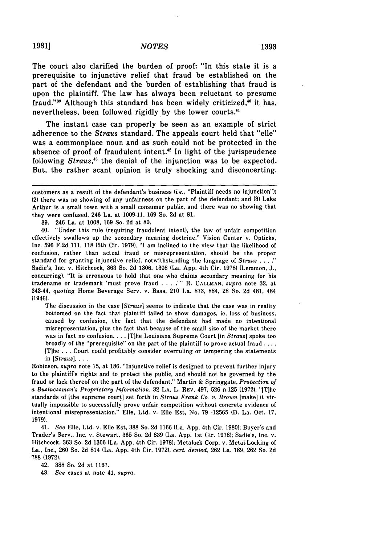The court also clarified the burden of proof: "In this state it is a prerequisite to injunctive relief that fraud be established on the part of the defendant and the burden of establishing that fraud is upon the plaintiff. The law has always been reluctant to presume fraud."<sup>39</sup> Although this standard has been widely criticized,<sup>40</sup> it has, nevertheless, been followed rigidly **by** the lower courts.'1

The instant case can properly be seen as an example of strict adherence to the *Straus* standard. The appeals court held that "elle" was a commonplace noun and as such could not be protected in the absence of proof of fraudulent intent.'2 In light of the jurisprudence following *Straus,"3* the denial of the injunction was to be expected. But, the rather scant opinion is truly shocking and disconcerting.

**39.** 246 La. at **1008, 169** So. **2d** at **80.**

40. "Under this rule (requiring fraudulent intent), the law of unfair competition effectively swallows up the secondary meaning doctrine." Vision Center v. Opticks, Inc. 596 F.2d 111, 118 (5th Cir. 1979). "I am inclined to the view that the likelihood of confusion, rather than actual fraud or misrepresentation, should be the proper standard for granting injunctive relief, notwithstanding the language of *Straus* **......** Sadie's, Inc. v. Hitchcock, 363 So. 2d 1306, 1308 (La. App. 4th Cir. 1978) (Lemmon, J., concurring). "It is erroneous to hold that one who claims secondary meaning for his tradename or trademark 'must prove fraud .... **.'** R. CALLMAN, *supra* note 32, at 343-44, *quoting* Home Beverage Serv. v. Baas, 210 La. 873, 884, 28 So. 2d 481, 484 (1946).

The discussion in the case *[Straus]* seems to indicate that the case was in reality bottomed on the fact that plaintiff failed to show damages, ie, loss of business, caused by confusion, the fact that the defendant had made no intentional misrepresentation, plus the fact that because of the small size of the market there was in fact no confusion **....** [T]he Louisiana Supreme Court [in *Straus]* spoke too broadly of the "prerequisite" on the part of the plaintiff to prove actual fraud **....** [T]he . . . Court could profitably consider overruling or tempering the statements in *[Straus]....*

Robinson, *supra* note 15, at 186. "Injunctive relief is designed to prevent further injury to the plaintiffs rights and to protect the public, and should not be governed by the fraud or lack thereof on the part of the defendant." Martin & Springgate, *Protection of a Businessman's Proprietary Information,* 32 **LA.** L. REV. 497, 526 n.125 (1972). "[Tlhe standards of [the supreme court] set forth in *Straus Frank Co. v. Brown* [make] it virtually impossible to successfully prove unfair competition without concrete evidence of intentional misrepresentation." Elle, Ltd. v. Elle Est, No. 79 -12565 (D. La. Oct. 17, 1979).

41. *See* Elle, Ltd. v. Elie Est, 388 So. 2d 1166 (La. App. 4th Cir. 1980); Buyer's and Trader's Serv., Inc. v. Stewart, 365 So. 2d 839 (La. App. 1st Cir. 1978); Sadie's, Inc. v. Hitchcock, 363 So. 2d 1306 (La. App. 4th Cir. 1978); Metalock Corp. v. Metal-Locking of La., Inc., 260 So. 2d 814 (La. App. 4th Cir. 1972), *cert. denied,* 262 La. 189, 262 So. 2d 788 (1972).

42. 388 So. 2d at 1167.

43. *See* cases at note 41, *supra.*

customers as a result of the defendant's business (i.e., "Plaintiff needs no injunction"); (2) there was no showing of any unfairness on the part of the defendant; and **(3)** Lake Arthur is a small town with a small consumer public, and there was no showing that they were confused. 246 La. at **1009-11, 169** So. **2d** at **81.**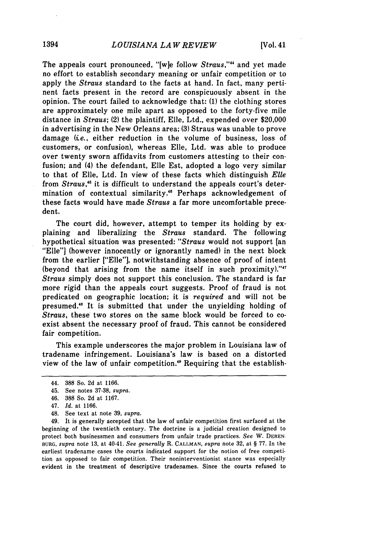The appeals court pronounced, "[w]e follow *Straus,""* and yet made no effort to establish secondary meaning or unfair competition or to apply the *Straus* standard to the facts at hand. In fact, many pertinent facts present in the record are conspicuously absent in the opinion. The court failed to acknowledge that: (1) the clothing stores are approximately one mile apart as opposed to the forty-five mile distance in *Straus;* (2) the plaintiff, Elle, Ltd., expended over \$20,000 in advertising in the New Orleans area; (3) Straus was unable to prove damage (i.e., either reduction in the volume of business, loss of customers, or confusion), whereas Elle, Ltd. was able to produce over twenty sworn affidavits from customers attesting to their confusion; and (4) the defendant, Elle Est, adopted a logo very similar to that of Elle, Ltd. In view of these facts which distinguish *Elle* from *Straus,'5* it is difficult to understand the appeals court's determination of contextual similarity.'6 Perhaps acknowledgement of these facts would have made *Straus* a far more uncomfortable precedent.

The court did, however, attempt to temper its holding by explaining and liberalizing the *Straus* standard. The following hypothetical situation was presented: *"Straus* would not support [an "Elle"] (however innocently or ignorantly named) in the next block from the earlier ["Elle"], notwithstanding absence of proof of intent (beyond that arising from the name itself in such proximity)." $17$ *Straus* simply does not support this conclusion. The standard is far more rigid than the appeals court suggests. Proof of fraud is not predicated on geographic location; it is *required* and will not be presumed.'8 It is submitted that under the unyielding holding of *Straus,* these two stores on the same block would be forced to coexist absent the necessary proof of fraud. This cannot be considered fair competition.

This example underscores the major problem in Louisiana law of tradename infringement. Louisiana's law is based on a distorted view of the law of unfair competition.<sup>49</sup> Requiring that the establish-

48. See text at note 39, *supra.*

49. It is generally accepted that the law of unfair competition first surfaced at the beginning of the twentieth century. The doctrine is a judicial creation designed to protect both businessmen and consumers from unfair trade practices. *See* W. DEREN-BURG, *supra* note 13, at 40-41. *See generally* R. CALLMAN, *supra* note 32, at § 77. In the earliest tradename cases the courts indicated support for the notion of free competition as opposed to fair competition. Their noninterventionist stance was especially evident in the treatment of descriptive tradenames. Since the courts refused to

<sup>44. 388</sup> So. 2d at 1166.

<sup>45.</sup> See notes 37-38, *supra.*

<sup>46. 388</sup> So. 2d at 1167.

<sup>47.</sup> *Id.* at 1166.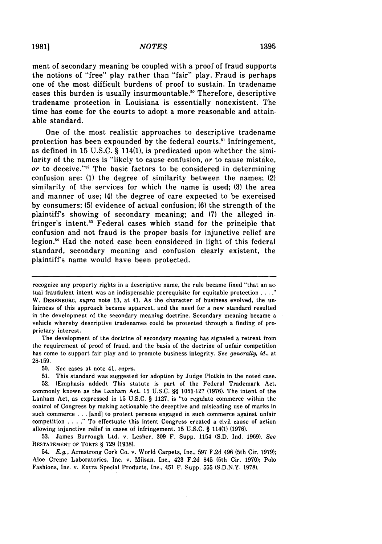ment of secondary meaning be coupled with a proof of fraud supports the notions of "free" play rather than "fair" play. Fraud is perhaps one of the most difficult burdens of proof to sustain. In tradename cases this burden is usually insurmountable. ° Therefore, descriptive tradename protection in Louisiana is essentially nonexistent. The time has come for the courts to adopt a more reasonable and attainable standard.

One of the most realistic approaches to descriptive tradename protection has been expounded by the federal courts.' Infringement, as defined in 15 U.S.C. § 114(1), is predicated upon whether the similarity of the names is "likely to cause confusion, or to cause mistake, or to deceive."52 The basic factors to be considered in determining confusion are: (1) the degree of similarity between the names; (2) similarity of the services for which the name is used; (3) the area and manner of use; (4) the degree of care expected to be exercised by consumers; (5) evidence of actual confusion; (6) the strength of the plaintiffs showing of secondary meaning; and (7) the alleged infringer's intent.<sup>53</sup> Federal cases which stand for the principle that confusion and not fraud is the proper basis for injunctive relief are legion.<sup>54</sup> Had the noted case been considered in light of this federal standard, secondary meaning and confusion clearly existent, the plaintiffs name would have been protected.

The development of the doctrine of secondary meaning has signaled a retreat from the requirement of proof of fraud, and the basis of the doctrine of unfair competition has come to support fair play and to promote business integrity. *See generally, id.,* at 28-159.

50. *See* cases at note 41, *supra.*

53. James Burrough Ltd. v. Lesher, 309 F. Supp. 1154 (S.D. Ind. 1969). See RESTATEMENT OF TORTS § 729 (1938).

54. *E.g.,* Armstrong Cork Co. v. World Carpets, Inc., 597 F.2d 496 (5th Cir. 1979); Aloe Creme Laboratories, Inc. v. Milsan, Inc., 423 F.2d 845 (5th Cir. 1970); Polo Fashions, Inc. v. Extra Special Products, Inc., 451 F. Supp. 555 (S.D.N.Y. 1978).

recognize any property rights in a descriptive name, the rule became fixed "that an actual fraudulent intent was an indispensable prerequisite for equitable protection **...."** W. DERENBURG, *supra* note **13,** at 41. As the character of business evolved, the unfairness of this approach became apparent, and the need for a new standard resulted in the development of the secondary meaning doctrine. Secondary meaning became a vehicle whereby descriptive tradenames could be protected through a finding of proprietary interest.

<sup>51.</sup> This standard was suggested for adoption by Judge Plotkin in the noted case. 52. (Emphasis added). This statute is part of the Federal Trademark Act, commonly known as the Lanham Act. 15 U.S.C. §§ 1051-127 (1976). The intent of the Lanham Act, as expressed in 15 U.S.C. § 1127, is "to regulate commerce within the control of Congress by making actionable the deceptive and misleading use of marks in such commerce . . . [and] to protect persons engaged in such commerce against unfair competition **...."** To effectuate this intent Congress created a civil cause of action allowing injunctive relief in cases of infringement. 15 U.S.C. § 114(1) (1976).